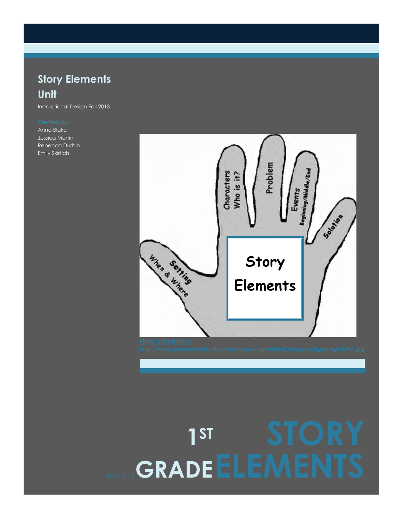## **Story Elements Unit**

Instructional Design Fall 2013

Anna Blake Jessica Martin Rebecca Durbin Emily Skirtich



# 12/12/13 **GRADE ELEMENTS 1ST**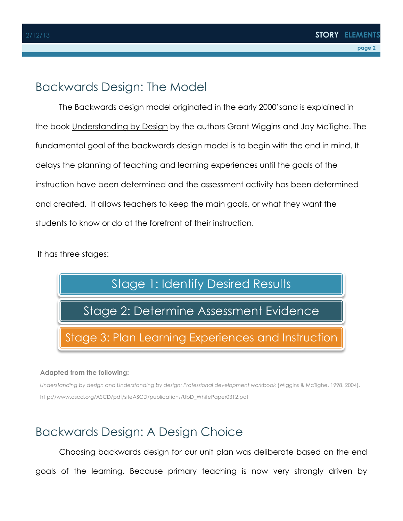## Backwards Design: The Model

The Backwards design model originated in the early 2000'sand is explained in the book Understanding by Design by the authors Grant Wiggins and Jay McTighe. The fundamental goal of the backwards design model is to begin with the end in mind. It delays the planning of teaching and learning experiences until the goals of the instruction have been determined and the assessment activity has been determined and created. It allows teachers to keep the main goals, or what they want the students to know or do at the forefront of their instruction.

It has three stages:



#### **Adapted from the following:**

*Understanding by design and Understanding by design: Professional development workbook* (Wiggins & McTighe, 1998, 2004). http://www.ascd.org/ASCD/pdf/siteASCD/publications/UbD\_WhitePaper0312.pdf

## Backwards Design: A Design Choice

Choosing backwards design for our unit plan was deliberate based on the end goals of the learning. Because primary teaching is now very strongly driven by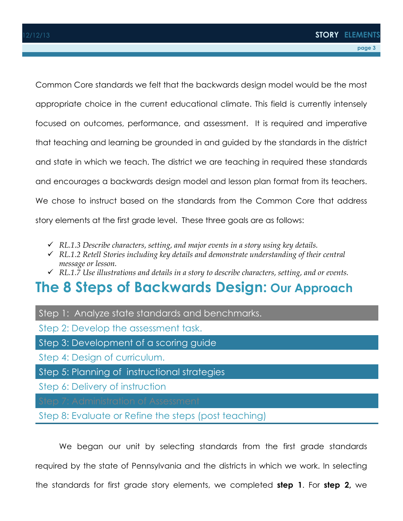Common Core standards we felt that the backwards design model would be the most appropriate choice in the current educational climate. This field is currently intensely focused on outcomes, performance, and assessment. It is required and imperative that teaching and learning be grounded in and guided by the standards in the district and state in which we teach. The district we are teaching in required these standards and encourages a backwards design model and lesson plan format from its teachers. We chose to instruct based on the standards from the Common Core that address story elements at the first grade level. These three goals are as follows:

- ü *RL.1.3 Describe characters, setting, and major events in a story using key details.*
- ü *RL.1.2 Retell Stories including key details and demonstrate understanding of their central message or lesson.*
- ü *RL.1.7 Use illustrations and details in a story to describe characters, setting, and or events.*

## **The 8 Steps of Backwards Design: Our Approach**

#### Step 1: Analyze state standards and benchmarks.

Step 2: Develop the assessment task.

- Step 3: Development of a scoring guide
- Step 4: Design of curriculum.
- Step 5: Planning of instructional strategies
- Step 6: Delivery of instruction
- 

### Step 8: Evaluate or Refine the steps (post teaching)

We began our unit by selecting standards from the first grade standards required by the state of Pennsylvania and the districts in which we work. In selecting the standards for first grade story elements, we completed **step 1**. For **step 2,** we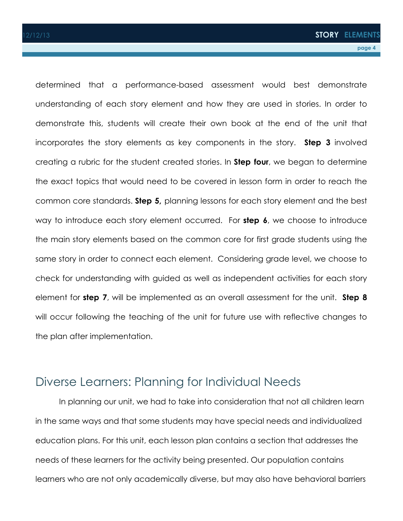determined that a performance-based assessment would best demonstrate understanding of each story element and how they are used in stories. In order to demonstrate this, students will create their own book at the end of the unit that incorporates the story elements as key components in the story. **Step 3** involved creating a rubric for the student created stories. In **Step four**, we began to determine the exact topics that would need to be covered in lesson form in order to reach the common core standards. **Step 5,** planning lessons for each story element and the best way to introduce each story element occurred. For **step 6**, we choose to introduce the main story elements based on the common core for first grade students using the same story in order to connect each element. Considering grade level, we choose to check for understanding with guided as well as independent activities for each story element for **step 7**, will be implemented as an overall assessment for the unit. **Step 8** will occur following the teaching of the unit for future use with reflective changes to the plan after implementation.

## Diverse Learners: Planning for Individual Needs

In planning our unit, we had to take into consideration that not all children learn in the same ways and that some students may have special needs and individualized education plans. For this unit, each lesson plan contains a section that addresses the needs of these learners for the activity being presented. Our population contains learners who are not only academically diverse, but may also have behavioral barriers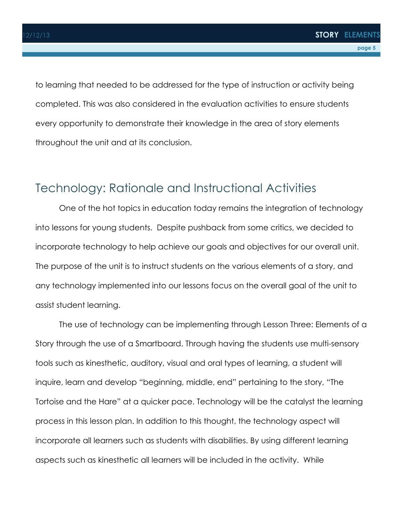to learning that needed to be addressed for the type of instruction or activity being completed. This was also considered in the evaluation activities to ensure students every opportunity to demonstrate their knowledge in the area of story elements throughout the unit and at its conclusion.

## Technology: Rationale and Instructional Activities

One of the hot topics in education today remains the integration of technology into lessons for young students. Despite pushback from some critics, we decided to incorporate technology to help achieve our goals and objectives for our overall unit. The purpose of the unit is to instruct students on the various elements of a story, and any technology implemented into our lessons focus on the overall goal of the unit to assist student learning.

The use of technology can be implementing through Lesson Three: Elements of a Story through the use of a Smartboard. Through having the students use multi-sensory tools such as kinesthetic, auditory, visual and oral types of learning, a student will inquire, learn and develop "beginning, middle, end" pertaining to the story, "The Tortoise and the Hare" at a quicker pace. Technology will be the catalyst the learning process in this lesson plan. In addition to this thought, the technology aspect will incorporate all learners such as students with disabilities. By using different learning aspects such as kinesthetic all learners will be included in the activity. While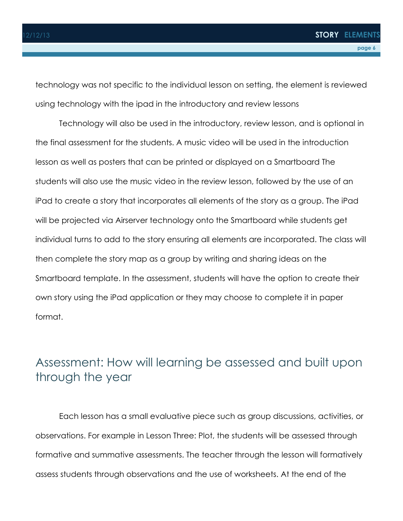technology was not specific to the individual lesson on setting, the element is reviewed using technology with the ipad in the introductory and review lessons

Technology will also be used in the introductory, review lesson, and is optional in the final assessment for the students. A music video will be used in the introduction lesson as well as posters that can be printed or displayed on a Smartboard The students will also use the music video in the review lesson, followed by the use of an iPad to create a story that incorporates all elements of the story as a group. The iPad will be projected via Airserver technology onto the Smartboard while students get individual turns to add to the story ensuring all elements are incorporated. The class will then complete the story map as a group by writing and sharing ideas on the Smartboard template. In the assessment, students will have the option to create their own story using the iPad application or they may choose to complete it in paper format.

## Assessment: How will learning be assessed and built upon through the year

Each lesson has a small evaluative piece such as group discussions, activities, or observations. For example in Lesson Three: Plot, the students will be assessed through formative and summative assessments. The teacher through the lesson will formatively assess students through observations and the use of worksheets. At the end of the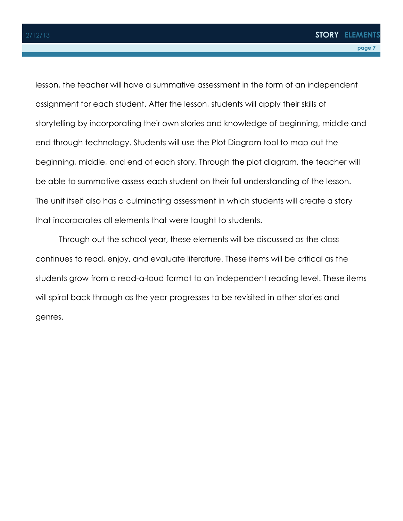lesson, the teacher will have a summative assessment in the form of an independent assignment for each student. After the lesson, students will apply their skills of storytelling by incorporating their own stories and knowledge of beginning, middle and end through technology. Students will use the Plot Diagram tool to map out the beginning, middle, and end of each story. Through the plot diagram, the teacher will be able to summative assess each student on their full understanding of the lesson. The unit itself also has a culminating assessment in which students will create a story that incorporates all elements that were taught to students.

Through out the school year, these elements will be discussed as the class continues to read, enjoy, and evaluate literature. These items will be critical as the students grow from a read-a-loud format to an independent reading level. These items will spiral back through as the year progresses to be revisited in other stories and genres.